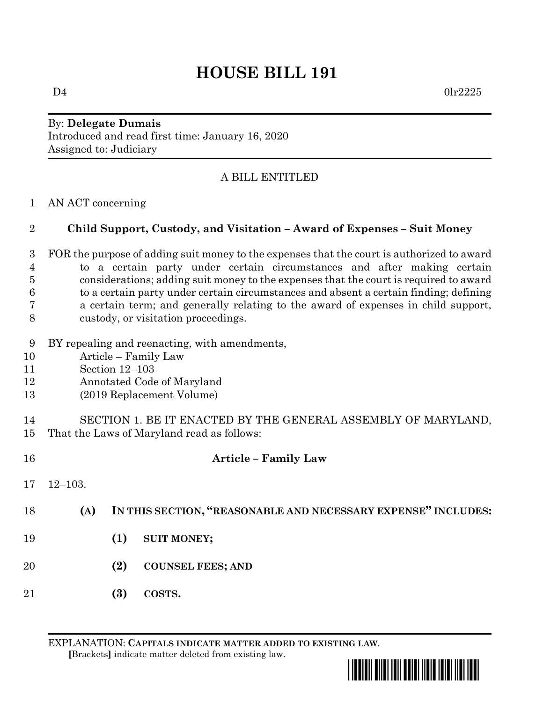# **HOUSE BILL 191**

 $D4$  0lr2225

### By: **Delegate Dumais** Introduced and read first time: January 16, 2020 Assigned to: Judiciary

## A BILL ENTITLED

#### AN ACT concerning

### **Child Support, Custody, and Visitation – Award of Expenses – Suit Money**

- FOR the purpose of adding suit money to the expenses that the court is authorized to award to a certain party under certain circumstances and after making certain considerations; adding suit money to the expenses that the court is required to award to a certain party under certain circumstances and absent a certain finding; defining a certain term; and generally relating to the award of expenses in child support, custody, or visitation proceedings.
- BY repealing and reenacting, with amendments,
- Article Family Law
- Section 12–103
- Annotated Code of Maryland
- (2019 Replacement Volume)

#### SECTION 1. BE IT ENACTED BY THE GENERAL ASSEMBLY OF MARYLAND, That the Laws of Maryland read as follows:

| 16 |             | <b>Article - Family Law</b>                                   |
|----|-------------|---------------------------------------------------------------|
| 17 | $12 - 103.$ |                                                               |
| 18 | (A)         | IN THIS SECTION, "REASONABLE AND NECESSARY EXPENSE" INCLUDES: |
| 19 |             | (1)<br><b>SUIT MONEY;</b>                                     |
| 20 |             | (2)<br><b>COUNSEL FEES; AND</b>                               |
| 21 |             | (3)<br>COSTS.                                                 |

EXPLANATION: **CAPITALS INDICATE MATTER ADDED TO EXISTING LAW**.  **[**Brackets**]** indicate matter deleted from existing law.